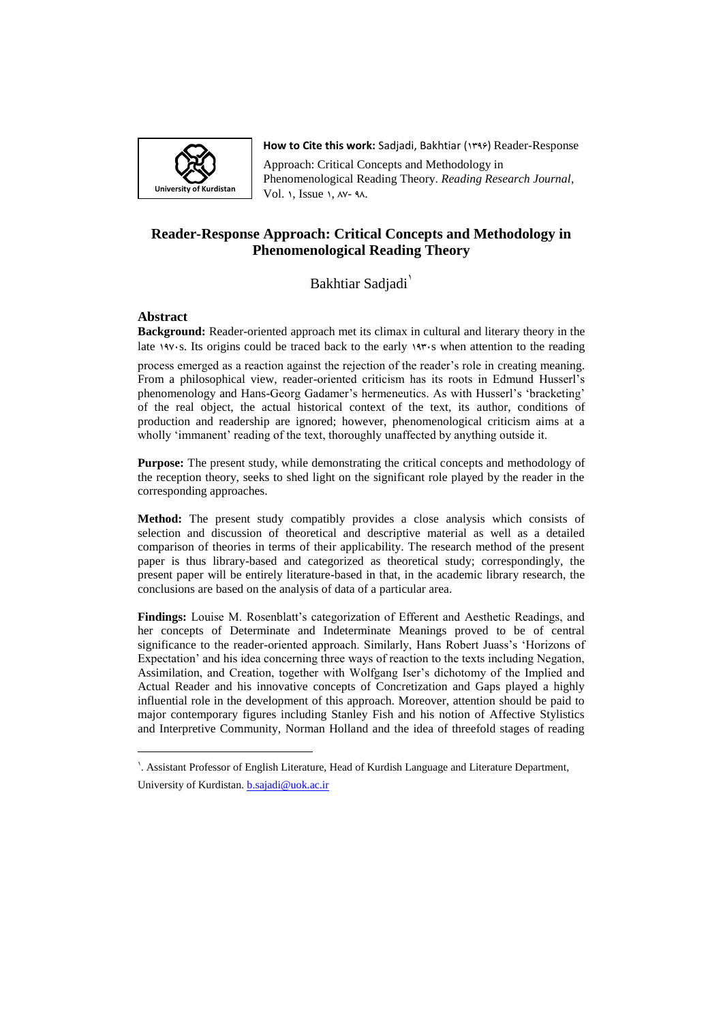

**How to Cite this work: Sadiadi, Bakhtiar (1996) Reader-Response** 

Approach: Critical Concepts and Methodology in Phenomenological Reading Theory. *Reading Research Journal*, Vol. 1, Issue 1,  $AV- 9A$ .

# **Reader-Response Approach: Critical Concepts and Methodology in Phenomenological Reading Theory**

Bakhtiar Sadjadi<sup>1</sup>

# **Abstract**

 $\overline{a}$ 

**Background:** Reader-oriented approach met its climax in cultural and literary theory in the late 1975. Its origins could be traced back to the early 1975 when attention to the reading

process emerged as a reaction against the rejection of the reader's role in creating meaning. From a philosophical view, reader-oriented criticism has its roots in Edmund Husserl's phenomenology and Hans-Georg Gadamer's hermeneutics. As with Husserl's 'bracketing' of the real object, the actual historical context of the text, its author, conditions of production and readership are ignored; however, phenomenological criticism aims at a wholly 'immanent' reading of the text, thoroughly unaffected by anything outside it.

**Purpose:** The present study, while demonstrating the critical concepts and methodology of the reception theory, seeks to shed light on the significant role played by the reader in the corresponding approaches.

**Method:** The present study compatibly provides a close analysis which consists of selection and discussion of theoretical and descriptive material as well as a detailed comparison of theories in terms of their applicability. The research method of the present paper is thus library-based and categorized as theoretical study; correspondingly, the present paper will be entirely literature-based in that, in the academic library research, the conclusions are based on the analysis of data of a particular area.

**Findings:** Louise M. Rosenblatt's categorization of Efferent and Aesthetic Readings, and her concepts of Determinate and Indeterminate Meanings proved to be of central significance to the reader-oriented approach. Similarly, Hans Robert Juass's 'Horizons of Expectation' and his idea concerning three ways of reaction to the texts including Negation, Assimilation, and Creation, together with Wolfgang Iser's dichotomy of the Implied and Actual Reader and his innovative concepts of Concretization and Gaps played a highly influential role in the development of this approach. Moreover, attention should be paid to major contemporary figures including Stanley Fish and his notion of Affective Stylistics and Interpretive Community, Norman Holland and the idea of threefold stages of reading

<sup>6</sup> . Assistant Professor of English Literature, Head of Kurdish Language and Literature Department, University of Kurdistan. **[b.sajadi@uok.ac.ir](mailto:b.sajadi@uok.ac.ir)**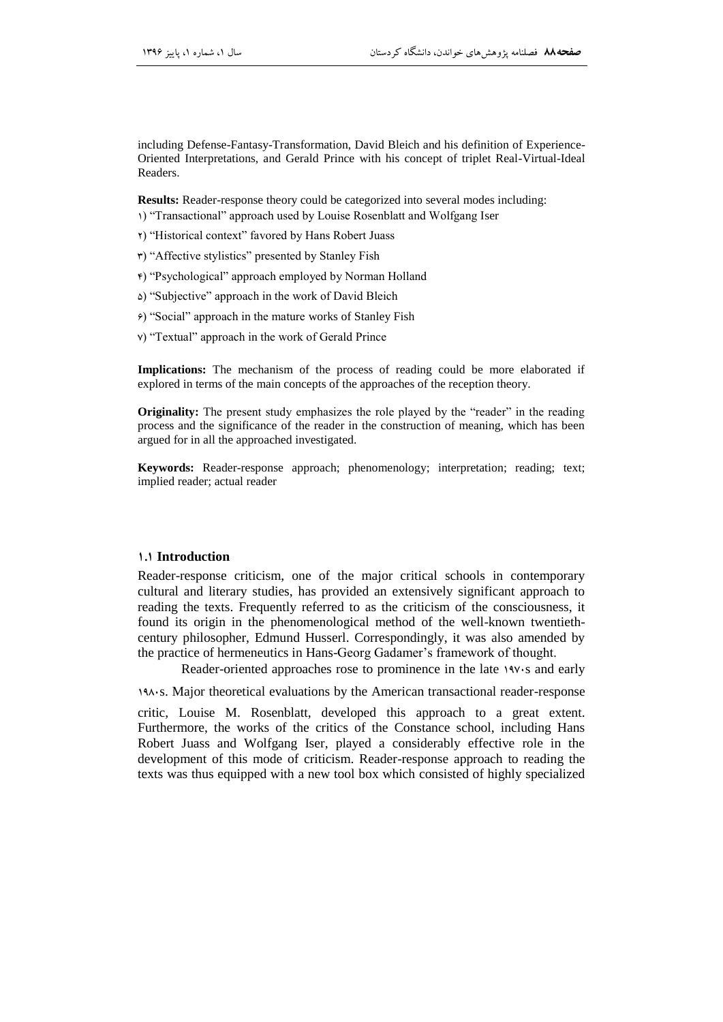including Defense-Fantasy-Transformation, David Bleich and his definition of Experience-Oriented Interpretations, and Gerald Prince with his concept of triplet Real-Virtual-Ideal Readers.

**Results:** Reader-response theory could be categorized into several modes including: 1) "Transactional" approach used by Louise Rosenblatt and Wolfgang Iser

- 2) ―Historical context‖ favored by Hans Robert Juass
- 9) ―Affective stylistics‖ presented by Stanley Fish
- $\epsilon$ ) "Psychological" approach employed by Norman Holland
- 5) ―Subjective‖ approach in the work of David Bleich
- $\epsilon$ ) "Social" approach in the mature works of Stanley Fish
- v) "Textual" approach in the work of Gerald Prince

**Implications:** The mechanism of the process of reading could be more elaborated if explored in terms of the main concepts of the approaches of the reception theory.

**Originality:** The present study emphasizes the role played by the "reader" in the reading process and the significance of the reader in the construction of meaning, which has been argued for in all the approached investigated.

**Keywords:** Reader-response approach; phenomenology; interpretation; reading; text; implied reader; actual reader

#### **1.1 Introduction**

Reader-response criticism, one of the major critical schools in contemporary cultural and literary studies, has provided an extensively significant approach to reading the texts. Frequently referred to as the criticism of the consciousness, it found its origin in the phenomenological method of the well-known twentiethcentury philosopher, Edmund Husserl. Correspondingly, it was also amended by the practice of hermeneutics in Hans-Georg Gadamer's framework of thought.

Reader-oriented approaches rose to prominence in the late 1971s and early

1986. Major theoretical evaluations by the American transactional reader-response

critic, Louise M. Rosenblatt, developed this approach to a great extent. Furthermore, the works of the critics of the Constance school, including Hans Robert Juass and Wolfgang Iser, played a considerably effective role in the development of this mode of criticism. Reader-response approach to reading the texts was thus equipped with a new tool box which consisted of highly specialized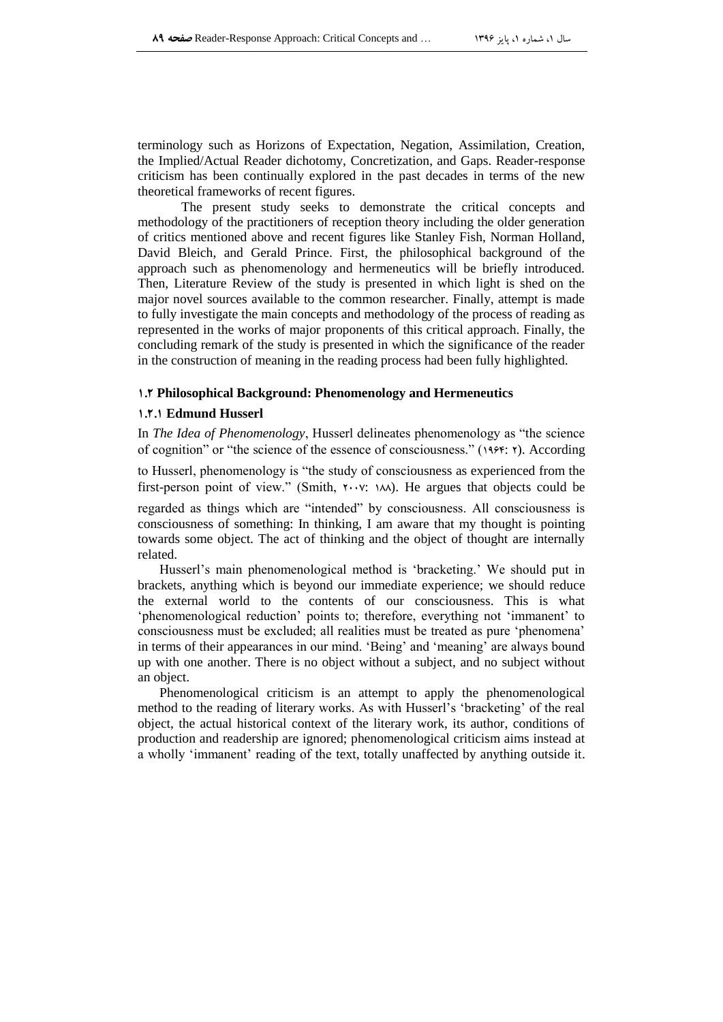terminology such as Horizons of Expectation, Negation, Assimilation, Creation, the Implied/Actual Reader dichotomy, Concretization, and Gaps. Reader-response criticism has been continually explored in the past decades in terms of the new theoretical frameworks of recent figures.

The present study seeks to demonstrate the critical concepts and methodology of the practitioners of reception theory including the older generation of critics mentioned above and recent figures like Stanley Fish, Norman Holland, David Bleich, and Gerald Prince. First, the philosophical background of the approach such as phenomenology and hermeneutics will be briefly introduced. Then, Literature Review of the study is presented in which light is shed on the major novel sources available to the common researcher. Finally, attempt is made to fully investigate the main concepts and methodology of the process of reading as represented in the works of major proponents of this critical approach. Finally, the concluding remark of the study is presented in which the significance of the reader in the construction of meaning in the reading process had been fully highlighted.

# **1.1 Philosophical Background: Phenomenology and Hermeneutics**

#### **1.1.1 Edmund Husserl**

In *The Idea of Phenomenology*, Husserl delineates phenomenology as "the science" of cognition" or "the science of the essence of consciousness." ( $14.99$ :  $\tau$ ). According

to Husserl, phenomenology is "the study of consciousness as experienced from the first-person point of view." (Smith,  $Y \cdot Y$ :  $\forall \lambda$ ). He argues that objects could be

regarded as things which are "intended" by consciousness. All consciousness is consciousness of something: In thinking, I am aware that my thought is pointing towards some object. The act of thinking and the object of thought are internally related.

Husserl's main phenomenological method is 'bracketing.' We should put in brackets, anything which is beyond our immediate experience; we should reduce the external world to the contents of our consciousness. This is what 'phenomenological reduction' points to; therefore, everything not 'immanent' to consciousness must be excluded; all realities must be treated as pure 'phenomena' in terms of their appearances in our mind. 'Being' and 'meaning' are always bound up with one another. There is no object without a subject, and no subject without an object.

Phenomenological criticism is an attempt to apply the phenomenological method to the reading of literary works. As with Husserl's ‗bracketing' of the real object, the actual historical context of the literary work, its author, conditions of production and readership are ignored; phenomenological criticism aims instead at a wholly 'immanent' reading of the text, totally unaffected by anything outside it.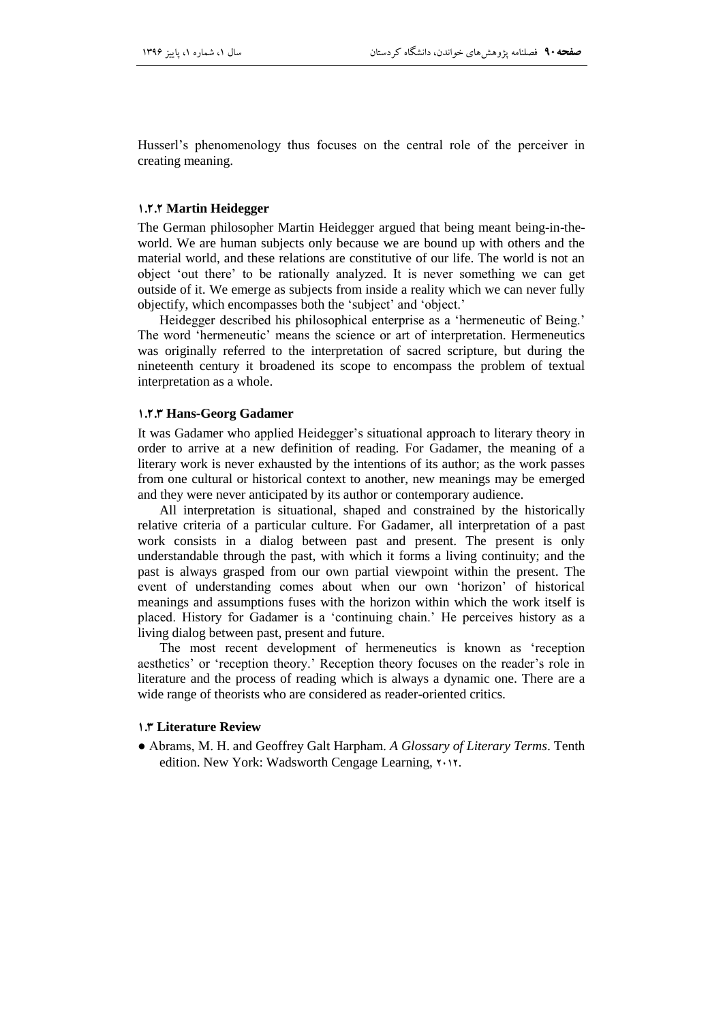Husserl's phenomenology thus focuses on the central role of the perceiver in creating meaning.

#### **1.1.1 Martin Heidegger**

The German philosopher Martin Heidegger argued that being meant being-in-theworld. We are human subjects only because we are bound up with others and the material world, and these relations are constitutive of our life. The world is not an object ‗out there' to be rationally analyzed. It is never something we can get outside of it. We emerge as subjects from inside a reality which we can never fully objectify, which encompasses both the 'subject' and 'object.'

Heidegger described his philosophical enterprise as a 'hermeneutic of Being.' The word 'hermeneutic' means the science or art of interpretation. Hermeneutics was originally referred to the interpretation of sacred scripture, but during the nineteenth century it broadened its scope to encompass the problem of textual interpretation as a whole.

#### **1.1.1 Hans-Georg Gadamer**

It was Gadamer who applied Heidegger's situational approach to literary theory in order to arrive at a new definition of reading. For Gadamer, the meaning of a literary work is never exhausted by the intentions of its author; as the work passes from one cultural or historical context to another, new meanings may be emerged and they were never anticipated by its author or contemporary audience.

All interpretation is situational, shaped and constrained by the historically relative criteria of a particular culture. For Gadamer, all interpretation of a past work consists in a dialog between past and present. The present is only understandable through the past, with which it forms a living continuity; and the past is always grasped from our own partial viewpoint within the present. The event of understanding comes about when our own ‗horizon' of historical meanings and assumptions fuses with the horizon within which the work itself is placed. History for Gadamer is a 'continuing chain.' He perceives history as a living dialog between past, present and future.

The most recent development of hermeneutics is known as 'reception aesthetics' or 'reception theory.' Reception theory focuses on the reader's role in literature and the process of reading which is always a dynamic one. There are a wide range of theorists who are considered as reader-oriented critics.

# **1.1 Literature Review**

● Abrams, M. H. and Geoffrey Galt Harpham. *A Glossary of Literary Terms*. Tenth edition. New York: Wadsworth Cengage Learning,  $\gamma \cdot \gamma$ .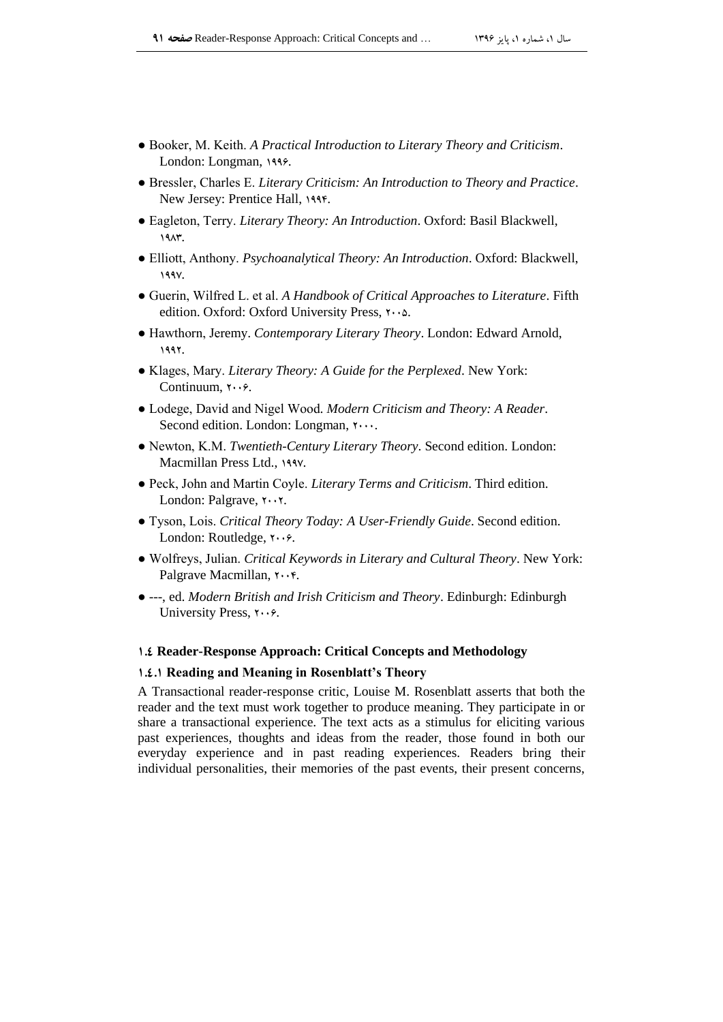- Booker, M. Keith. *A Practical Introduction to Literary Theory and Criticism*. London: Longman, 1999.
- Bressler, Charles E. *Literary Criticism: An Introduction to Theory and Practice*. New Jersey: Prentice Hall, 1999.
- Eagleton, Terry. *Literary Theory: An Introduction*. Oxford: Basil Blackwell, 1947.
- Elliott, Anthony. *Psychoanalytical Theory: An Introduction*. Oxford: Blackwell, 199V.
- Guerin, Wilfred L. et al. *A Handbook of Critical Approaches to Literature*. Fifth edition. Oxford: Oxford University Press,  $\cdots$ .
- Hawthorn, Jeremy. *Contemporary Literary Theory*. London: Edward Arnold, 6992.
- Klages, Mary. *Literary Theory: A Guide for the Perplexed*. New York: Continuum,  $Y \cdot \cdot \hat{Z}$ .
- Lodege, David and Nigel Wood*. Modern Criticism and Theory: A Reader*. Second edition. London: Longman,  $\cdots$ .
- Newton, K.M. *Twentieth-Century Literary Theory*. Second edition. London: Macmillan Press Ltd., 1997.
- Peck, John and Martin Coyle. *Literary Terms and Criticism*. Third edition. London: Palgrave, Y. Y.
- Tyson, Lois. *Critical Theory Today: A User-Friendly Guide*. Second edition. London: Routledge,  $\mathbf{Y} \cdot \mathbf{S}$ .
- Wolfreys, Julian. *Critical Keywords in Literary and Cultural Theory*. New York: Palgrave Macmillan,  $\mathbf{y} \cdot \mathbf{y}$ .
- ---, ed. *Modern British and Irish Criticism and Theory*. Edinburgh: Edinburgh University Press,  $\mathbf{y} \cdot \mathbf{y}$ .

# **1.1 Reader-Response Approach: Critical Concepts and Methodology**

# **1.1.1 Reading and Meaning in Rosenblatt's Theory**

A Transactional reader-response critic, Louise M. Rosenblatt asserts that both the reader and the text must work together to produce meaning. They participate in or share a transactional experience. The text acts as a stimulus for eliciting various past experiences, thoughts and ideas from the reader, those found in both our everyday experience and in past reading experiences. Readers bring their individual personalities, their memories of the past events, their present concerns,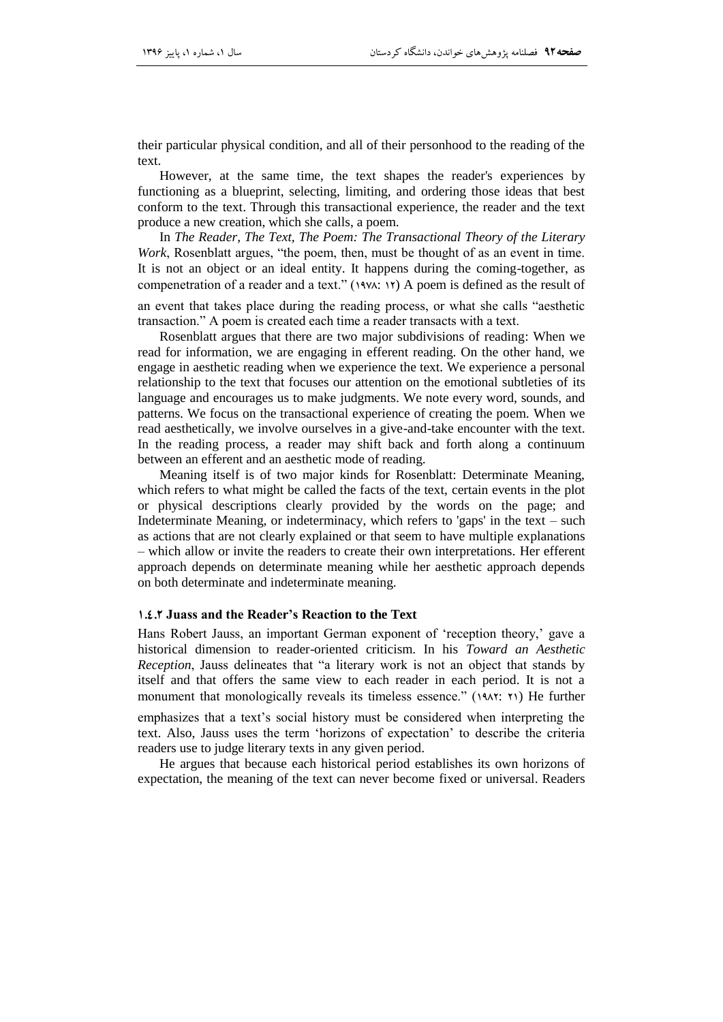their particular physical condition, and all of their personhood to the reading of the text.

However, at the same time, the text shapes the reader's experiences by functioning as a blueprint, selecting, limiting, and ordering those ideas that best conform to the text. Through this transactional experience, the reader and the text produce a new creation, which she calls, a poem.

In *The Reader, The Text, The Poem: The Transactional Theory of the Literary Work*, Rosenblatt argues, "the poem, then, must be thought of as an event in time. It is not an object or an ideal entity. It happens during the coming-together, as compenetration of a reader and a text."  $(1974: 18)$  A poem is defined as the result of

an event that takes place during the reading process, or what she calls "aesthetic transaction.‖ A poem is created each time a reader transacts with a text.

Rosenblatt argues that there are two major subdivisions of reading: When we read for information, we are engaging in efferent reading. On the other hand, we engage in aesthetic reading when we experience the text. We experience a personal relationship to the text that focuses our attention on the emotional subtleties of its language and encourages us to make judgments. We note every word, sounds, and patterns. We focus on the transactional experience of creating the poem. When we read aesthetically, we involve ourselves in a give-and-take encounter with the text. In the reading process, a reader may shift back and forth along a continuum between an efferent and an aesthetic mode of reading.

Meaning itself is of two major kinds for Rosenblatt: Determinate Meaning, which refers to what might be called the facts of the text, certain events in the plot or physical descriptions clearly provided by the words on the page; and Indeterminate Meaning, or indeterminacy, which refers to 'gaps' in the text – such as actions that are not clearly explained or that seem to have multiple explanations – which allow or invite the readers to create their own interpretations. Her efferent approach depends on determinate meaning while her aesthetic approach depends on both determinate and indeterminate meaning.

#### **1.1.1 Juass and the Reader's Reaction to the Text**

Hans Robert Jauss, an important German exponent of 'reception theory,' gave a historical dimension to reader-oriented criticism. In his *Toward an Aesthetic Reception*, Jauss delineates that "a literary work is not an object that stands by itself and that offers the same view to each reader in each period. It is not a monument that monologically reveals its timeless essence." (1948: 11) He further

emphasizes that a text's social history must be considered when interpreting the text. Also, Jauss uses the term 'horizons of expectation' to describe the criteria readers use to judge literary texts in any given period.

He argues that because each historical period establishes its own horizons of expectation, the meaning of the text can never become fixed or universal. Readers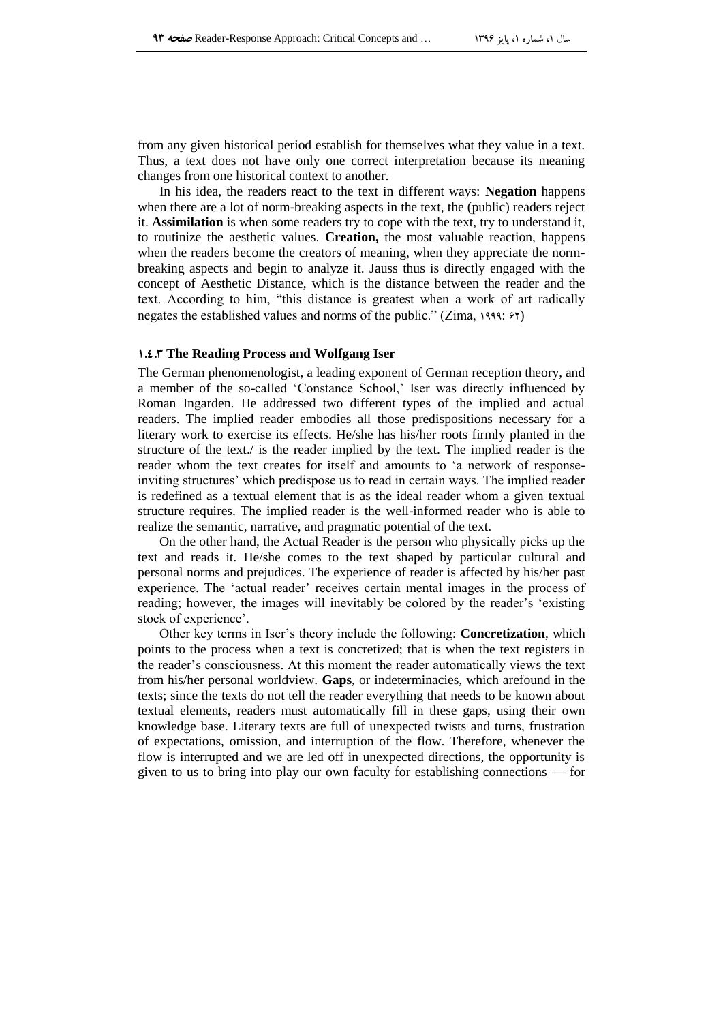from any given historical period establish for themselves what they value in a text. Thus, a text does not have only one correct interpretation because its meaning changes from one historical context to another.

In his idea, the readers react to the text in different ways: **Negation** happens when there are a lot of norm-breaking aspects in the text, the (public) readers reject it. **Assimilation** is when some readers try to cope with the text, try to understand it, to routinize the aesthetic values. **Creation,** the most valuable reaction, happens when the readers become the creators of meaning, when they appreciate the normbreaking aspects and begin to analyze it. Jauss thus is directly engaged with the concept of Aesthetic Distance, which is the distance between the reader and the text. According to him, "this distance is greatest when a work of art radically negates the established values and norms of the public." (Zima,  $1999$ :  $699$ )

# **1.1.1 The Reading Process and Wolfgang Iser**

The German phenomenologist, a leading exponent of German reception theory, and a member of the so-called 'Constance School,' Iser was directly influenced by Roman Ingarden. He addressed two different types of the implied and actual readers. The implied reader embodies all those predispositions necessary for a literary work to exercise its effects. He/she has his/her roots firmly planted in the structure of the text./ is the reader implied by the text. The implied reader is the reader whom the text creates for itself and amounts to 'a network of responseinviting structures' which predispose us to read in certain ways. The implied reader is redefined as a textual element that is as the ideal reader whom a given textual structure requires. The implied reader is the well-informed reader who is able to realize the semantic, narrative, and pragmatic potential of the text.

On the other hand, the Actual Reader is the person who physically picks up the text and reads it. He/she comes to the text shaped by particular cultural and personal norms and prejudices. The experience of reader is affected by his/her past experience. The 'actual reader' receives certain mental images in the process of reading; however, the images will inevitably be colored by the reader's 'existing stock of experience'.

Other key terms in Iser's theory include the following: **Concretization**, which points to the process when a text is concretized; that is when the text registers in the reader's consciousness. At this moment the reader automatically views the text from his/her personal worldview. **Gaps**, or indeterminacies, which arefound in the texts; since the texts do not tell the reader everything that needs to be known about textual elements, readers must automatically fill in these gaps, using their own knowledge base. Literary texts are full of unexpected twists and turns, frustration of expectations, omission, and interruption of the flow. Therefore, whenever the flow is interrupted and we are led off in unexpected directions, the opportunity is given to us to bring into play our own faculty for establishing connections — for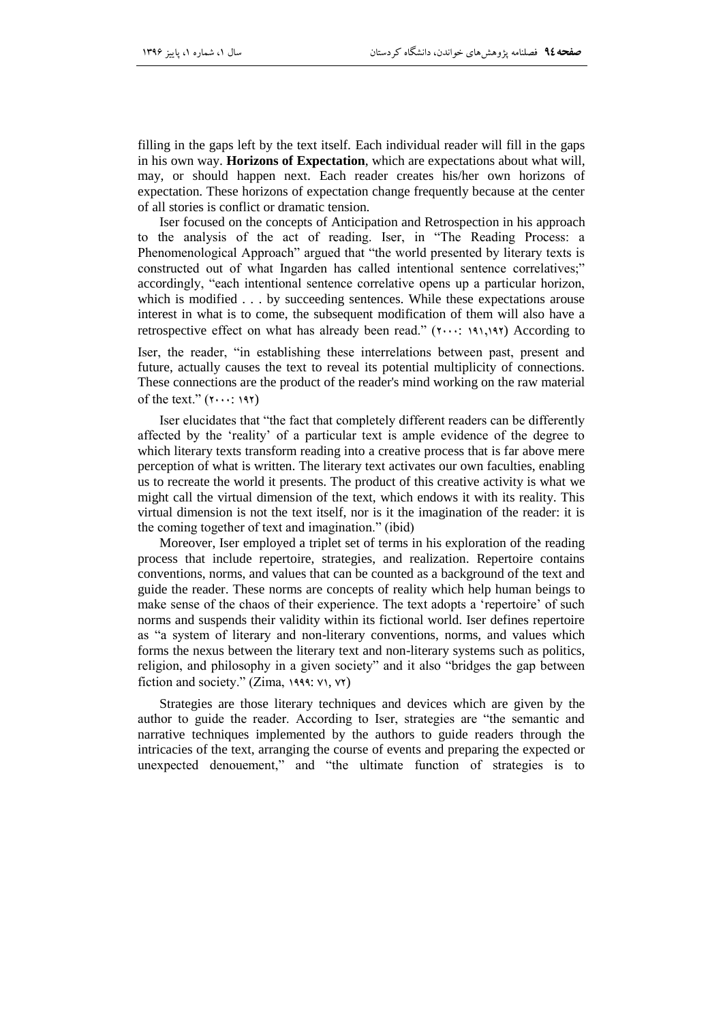filling in the gaps left by the text itself. Each individual reader will fill in the gaps in his own way. **Horizons of Expectation**, which are expectations about what will, may, or should happen next. Each reader creates his/her own horizons of expectation. These horizons of expectation change frequently because at the center of all stories is conflict or dramatic tension.

Iser focused on the concepts of Anticipation and Retrospection in his approach to the analysis of the act of reading. Iser, in "The Reading Process: a Phenomenological Approach" argued that "the world presented by literary texts is constructed out of what Ingarden has called intentional sentence correlatives;" accordingly, "each intentional sentence correlative opens up a particular horizon, which is modified . . . by succeeding sentences. While these expectations arouse interest in what is to come, the subsequent modification of them will also have a retrospective effect on what has already been read."  $(1, 1, 1, 1, 1)$ . According to

Iser, the reader, "in establishing these interrelations between past, present and future, actually causes the text to reveal its potential multiplicity of connections. These connections are the product of the reader's mind working on the raw material of the text."  $(Y \cdots Y)$ 

Iser elucidates that "the fact that completely different readers can be differently affected by the 'reality' of a particular text is ample evidence of the degree to which literary texts transform reading into a creative process that is far above mere perception of what is written. The literary text activates our own faculties, enabling us to recreate the world it presents. The product of this creative activity is what we might call the virtual dimension of the text, which endows it with its reality. This virtual dimension is not the text itself, nor is it the imagination of the reader: it is the coming together of text and imagination." (ibid)

Moreover, Iser employed a triplet set of terms in his exploration of the reading process that include repertoire, strategies, and realization. Repertoire contains conventions, norms, and values that can be counted as a background of the text and guide the reader. These norms are concepts of reality which help human beings to make sense of the chaos of their experience. The text adopts a 'repertoire' of such norms and suspends their validity within its fictional world. Iser defines repertoire as "a system of literary and non-literary conventions, norms, and values which forms the nexus between the literary text and non-literary systems such as politics, religion, and philosophy in a given society" and it also "bridges the gap between fiction and society." (Zima,  $1999$ :  $V1$ ,  $V2$ )

Strategies are those literary techniques and devices which are given by the author to guide the reader. According to Iser, strategies are "the semantic and narrative techniques implemented by the authors to guide readers through the intricacies of the text, arranging the course of events and preparing the expected or unexpected denouement," and "the ultimate function of strategies is to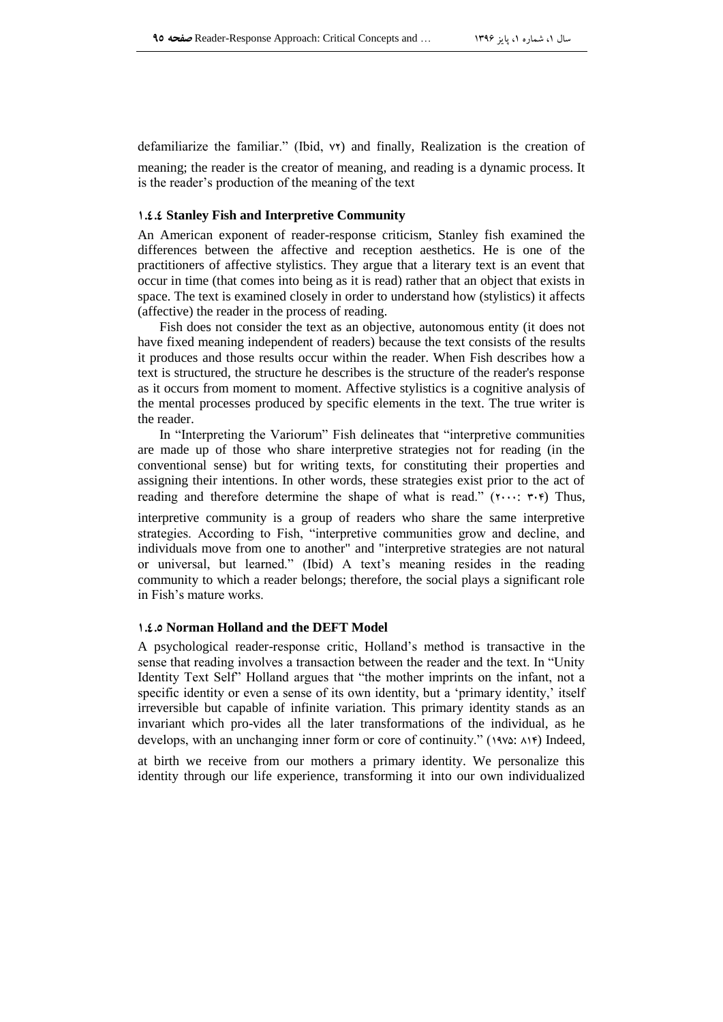defamiliarize the familiar." (Ibid,  $vr$ ) and finally, Realization is the creation of meaning; the reader is the creator of meaning, and reading is a dynamic process. It is the reader's production of the meaning of the text

# **1.1.1 Stanley Fish and Interpretive Community**

An American exponent of reader-response criticism, Stanley fish examined the differences between the affective and reception aesthetics. He is one of the practitioners of affective stylistics. They argue that a literary text is an event that occur in time (that comes into being as it is read) rather that an object that exists in space. The text is examined closely in order to understand how (stylistics) it affects (affective) the reader in the process of reading.

Fish does not consider the text as an objective, autonomous entity (it does not have fixed meaning independent of readers) because the text consists of the results it produces and those results occur within the reader. When Fish describes how a text is structured, the structure he describes is the structure of the reader's response as it occurs from moment to moment. Affective stylistics is a cognitive analysis of the mental processes produced by specific elements in the text. The true writer is the reader.

In "Interpreting the Variorum" Fish delineates that "interpretive communities" are made up of those who share interpretive strategies not for reading (in the conventional sense) but for writing texts, for constituting their properties and assigning their intentions. In other words, these strategies exist prior to the act of reading and therefore determine the shape of what is read." ( $\cdots$ :  $\cdots$ ;  $\nu$ ) Thus,

interpretive community is a group of readers who share the same interpretive strategies. According to Fish, "interpretive communities grow and decline, and individuals move from one to another" and "interpretive strategies are not natural or universal, but learned.‖ (Ibid) A text's meaning resides in the reading community to which a reader belongs; therefore, the social plays a significant role in Fish's mature works.

### **1.1.9 Norman Holland and the DEFT Model**

A psychological reader-response critic, Holland's method is transactive in the sense that reading involves a transaction between the reader and the text. In "Unity" Identity Text Self<sup>\*</sup> Holland argues that "the mother imprints on the infant, not a specific identity or even a sense of its own identity, but a 'primary identity,' itself irreversible but capable of infinite variation. This primary identity stands as an invariant which pro-vides all the later transformations of the individual, as he develops, with an unchanging inner form or core of continuity."  $(14\vee\&\wedge)\vee\uparrow$  Indeed,

at birth we receive from our mothers a primary identity. We personalize this identity through our life experience, transforming it into our own individualized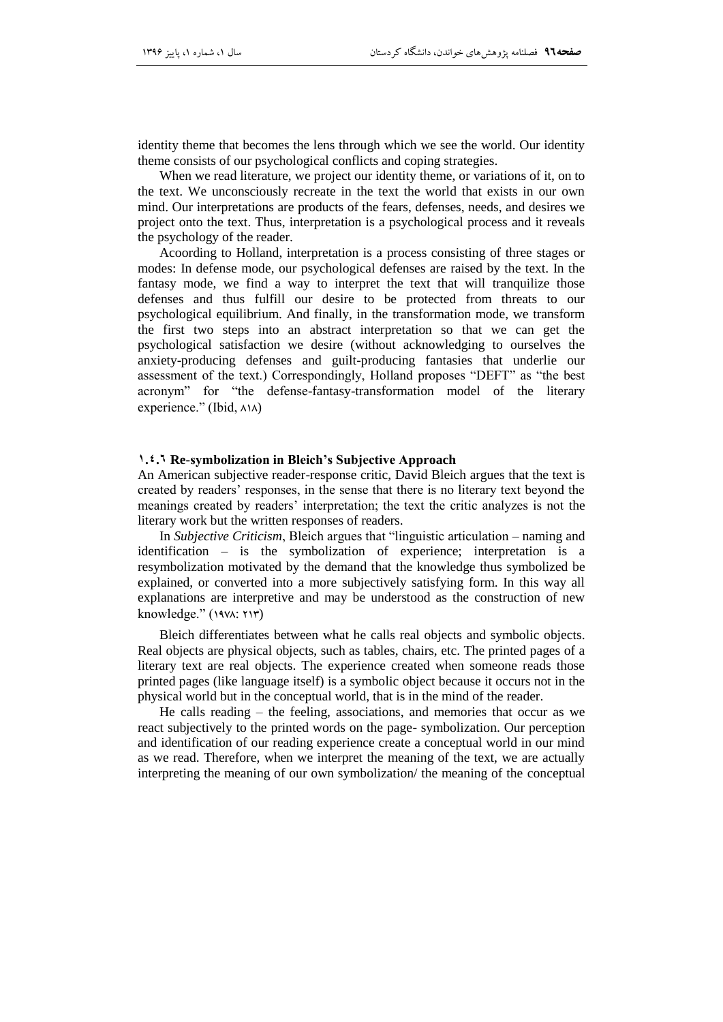identity theme that becomes the lens through which we see the world. Our identity theme consists of our psychological conflicts and coping strategies.

When we read literature, we project our identity theme, or variations of it, on to the text. We unconsciously recreate in the text the world that exists in our own mind. Our interpretations are products of the fears, defenses, needs, and desires we project onto the text. Thus, interpretation is a psychological process and it reveals the psychology of the reader.

Acoording to Holland, interpretation is a process consisting of three stages or modes: In defense mode, our psychological defenses are raised by the text. In the fantasy mode, we find a way to interpret the text that will tranquilize those defenses and thus fulfill our desire to be protected from threats to our psychological equilibrium. And finally, in the transformation mode, we transform the first two steps into an abstract interpretation so that we can get the psychological satisfaction we desire (without acknowledging to ourselves the anxiety-producing defenses and guilt-producing fantasies that underlie our assessment of the text.) Correspondingly, Holland proposes "DEFT" as "the best acronym" for "the defense-fantasy-transformation model of the literary experience." (Ibid,  $\land\land\land$ )

### **6.4.1 Re-symbolization in Bleich's Subjective Approach**

An American subjective reader-response critic, David Bleich argues that the text is created by readers' responses, in the sense that there is no literary text beyond the meanings created by readers' interpretation; the text the critic analyzes is not the literary work but the written responses of readers.

In *Subjective Criticism*, Bleich argues that "linguistic articulation – naming and identification – is the symbolization of experience; interpretation is a resymbolization motivated by the demand that the knowledge thus symbolized be explained, or converted into a more subjectively satisfying form. In this way all explanations are interpretive and may be understood as the construction of new knowledge."  $(1971: 717)$ 

Bleich differentiates between what he calls real objects and symbolic objects. Real objects are physical objects, such as tables, chairs, etc. The printed pages of a literary text are real objects. The experience created when someone reads those printed pages (like language itself) is a symbolic object because it occurs not in the physical world but in the conceptual world, that is in the mind of the reader.

He calls reading – the feeling, associations, and memories that occur as we react subjectively to the printed words on the page- symbolization. Our perception and identification of our reading experience create a conceptual world in our mind as we read. Therefore, when we interpret the meaning of the text, we are actually interpreting the meaning of our own symbolization/ the meaning of the conceptual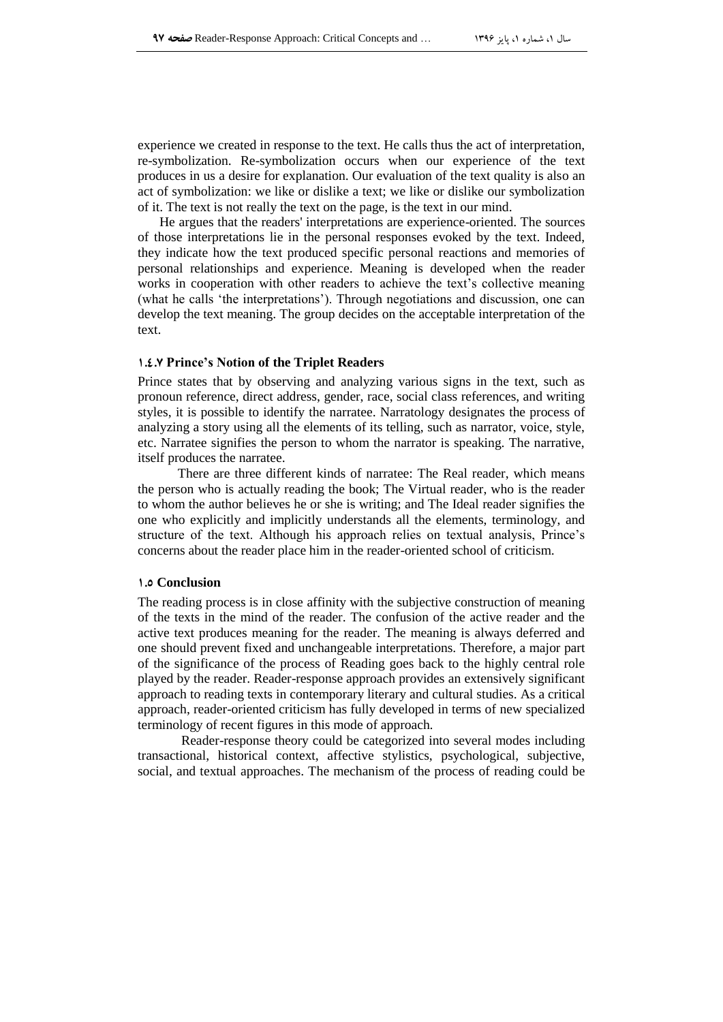experience we created in response to the text. He calls thus the act of interpretation, re-symbolization. Re-symbolization occurs when our experience of the text produces in us a desire for explanation. Our evaluation of the text quality is also an act of symbolization: we like or dislike a text; we like or dislike our symbolization of it. The text is not really the text on the page, is the text in our mind.

He argues that the readers' interpretations are experience-oriented. The sources of those interpretations lie in the personal responses evoked by the text. Indeed, they indicate how the text produced specific personal reactions and memories of personal relationships and experience. Meaning is developed when the reader works in cooperation with other readers to achieve the text's collective meaning (what he calls 'the interpretations'). Through negotiations and discussion, one can develop the text meaning. The group decides on the acceptable interpretation of the text.

### **1.1.9 Prince's Notion of the Triplet Readers**

Prince states that by observing and analyzing various signs in the text, such as pronoun reference, direct address, gender, race, social class references, and writing styles, it is possible to identify the narratee. Narratology designates the process of analyzing a story using all the elements of its telling, such as narrator, voice, style, etc. Narratee signifies the person to whom the narrator is speaking. The narrative, itself produces the narratee.

 There are three different kinds of narratee: The Real reader, which means the person who is actually reading the book; The Virtual reader, who is the reader to whom the author believes he or she is writing; and The Ideal reader signifies the one who explicitly and implicitly understands all the elements, terminology, and structure of the text. Although his approach relies on textual analysis, Prince's concerns about the reader place him in the reader-oriented school of criticism.

### **1.9 Conclusion**

The reading process is in close affinity with the subjective construction of meaning of the texts in the mind of the reader. The confusion of the active reader and the active text produces meaning for the reader. The meaning is always deferred and one should prevent fixed and unchangeable interpretations. Therefore, a major part of the significance of the process of Reading goes back to the highly central role played by the reader. Reader-response approach provides an extensively significant approach to reading texts in contemporary literary and cultural studies. As a critical approach, reader-oriented criticism has fully developed in terms of new specialized terminology of recent figures in this mode of approach.

Reader-response theory could be categorized into several modes including transactional, historical context, affective stylistics, psychological, subjective, social, and textual approaches. The mechanism of the process of reading could be